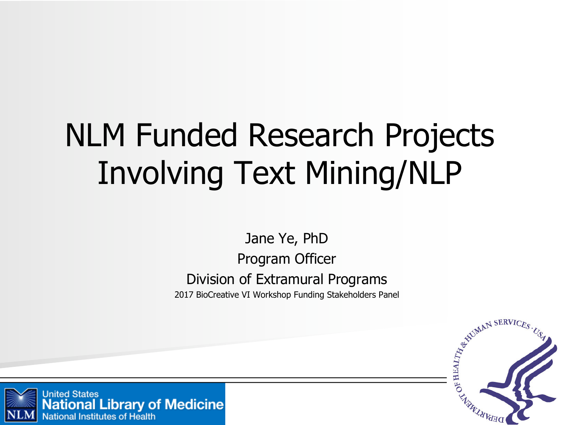# NLM Funded Research Projects Involving Text Mining/NLP

Jane Ye, PhD Program Officer Division of Extramural Programs 2017 BioCreative VI Workshop Funding Stakeholders Panel



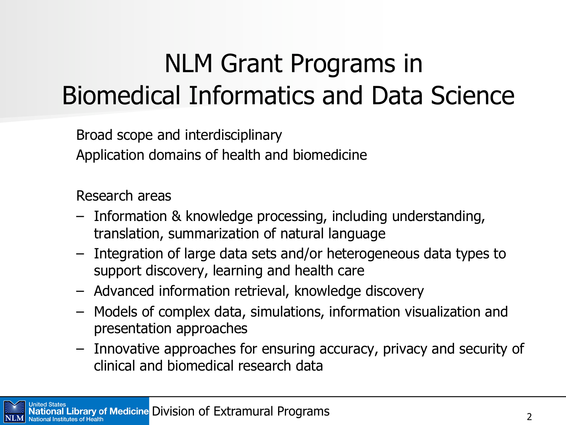## NLM Grant Programs in Biomedical Informatics and Data Science

Broad scope and interdisciplinary Application domains of health and biomedicine

Research areas

- Information & knowledge processing, including understanding, translation, summarization of natural language
- Integration of large data sets and/or heterogeneous data types to support discovery, learning and health care
- Advanced information retrieval, knowledge discovery
- Models of complex data, simulations, information visualization and presentation approaches
- Innovative approaches for ensuring accuracy, privacy and security of clinical and biomedical research data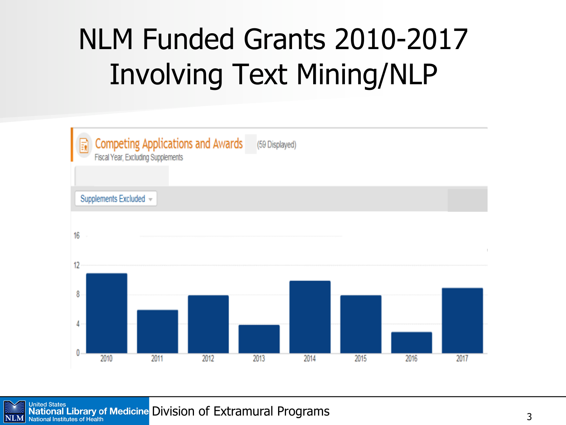## NLM Funded Grants 2010-2017 Involving Text Mining/NLP

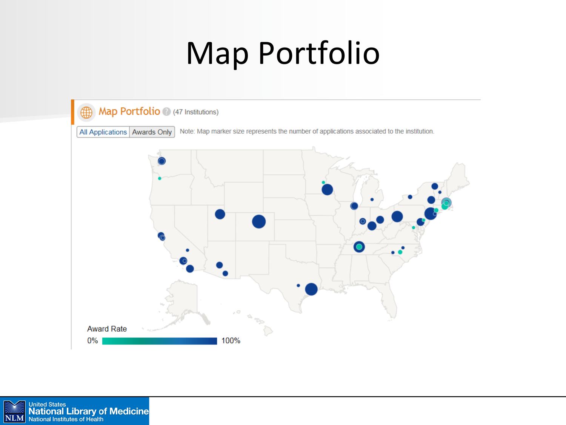# **Map Portfolio**



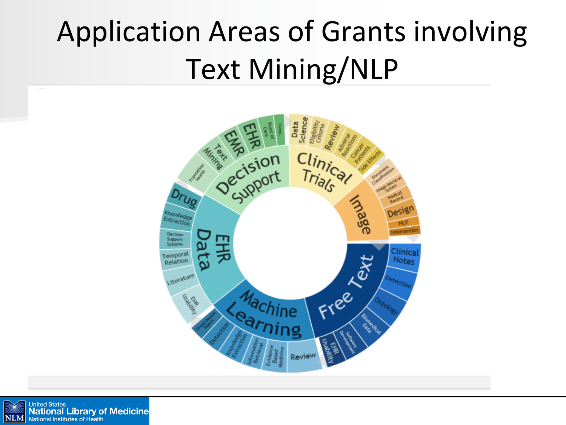# Application Areas of Grants involving Text Mining/NLP



**United States**<br>**National Library of Medicine** NLM National Institutes of Health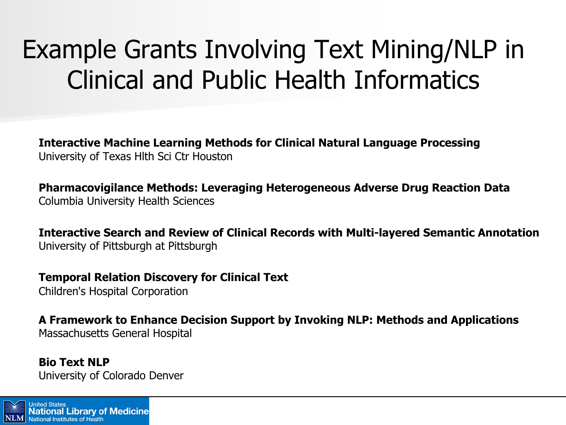## Example Grants Involving Text Mining/NLP in Clinical and Public Health Informatics

**Interactive Machine Learning Methods for Clinical Natural Language Processing** University of Texas Hlth Sci Ctr Houston

**Pharmacovigilance Methods: Leveraging Heterogeneous Adverse Drug Reaction Data** Columbia University Health Sciences

**Interactive Search and Review of Clinical Records with Multi-layered Semantic Annotation** University of Pittsburgh at Pittsburgh

**Temporal Relation Discovery for Clinical Text** Children's Hospital Corporation

**A Framework to Enhance Decision Support by Invoking NLP: Methods and Applications** Massachusetts General Hospital

**Bio Text NLP** University of Colorado Denver

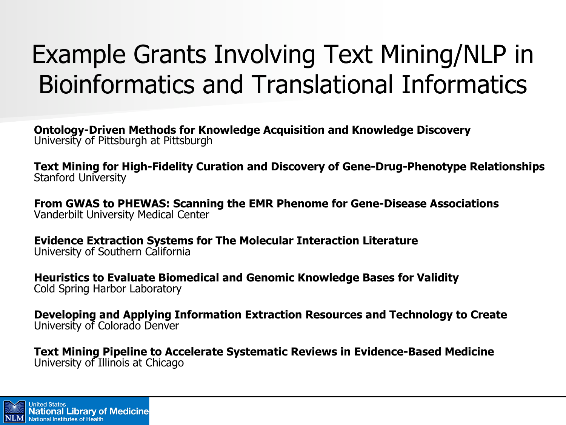## Example Grants Involving Text Mining/NLP in Bioinformatics and Translational Informatics

**Ontology-Driven Methods for Knowledge Acquisition and Knowledge Discovery** University of Pittsburgh at Pittsburgh

**Text Mining for High-Fidelity Curation and Discovery of Gene-Drug-Phenotype Relationships** Stanford University

**From GWAS to PHEWAS: Scanning the EMR Phenome for Gene-Disease Associations** Vanderbilt University Medical Center

**Evidence Extraction Systems for The Molecular Interaction Literature**  University of Southern California

**Heuristics to Evaluate Biomedical and Genomic Knowledge Bases for Validity**  Cold Spring Harbor Laboratory

**Developing and Applying Information Extraction Resources and Technology to Create** University of Colorado Denver

**Text Mining Pipeline to Accelerate Systematic Reviews in Evidence-Based Medicine** University of Illinois at Chicago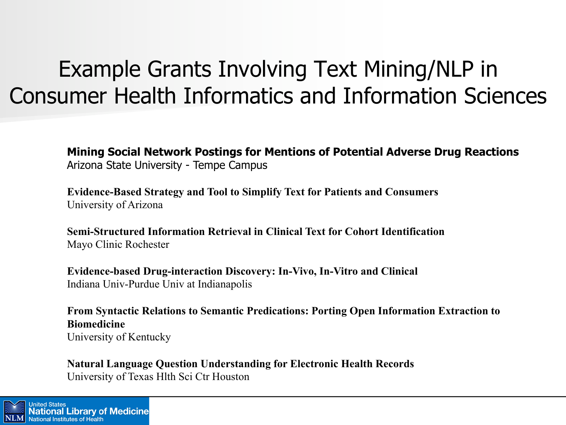### Example Grants Involving Text Mining/NLP in Consumer Health Informatics and Information Sciences

**Mining Social Network Postings for Mentions of Potential Adverse Drug Reactions** Arizona State University - Tempe Campus

**Evidence-Based Strategy and Tool to Simplify Text for Patients and Consumers**  University of Arizona

**Semi-Structured Information Retrieval in Clinical Text for Cohort Identification**  Mayo Clinic Rochester

**Evidence-based Drug-interaction Discovery: In-Vivo, In-Vitro and Clinical** Indiana Univ-Purdue Univ at Indianapolis

**From Syntactic Relations to Semantic Predications: Porting Open Information Extraction to Biomedicine** University of Kentucky

**Natural Language Question Understanding for Electronic Health Records** University of Texas Hlth Sci Ctr Houston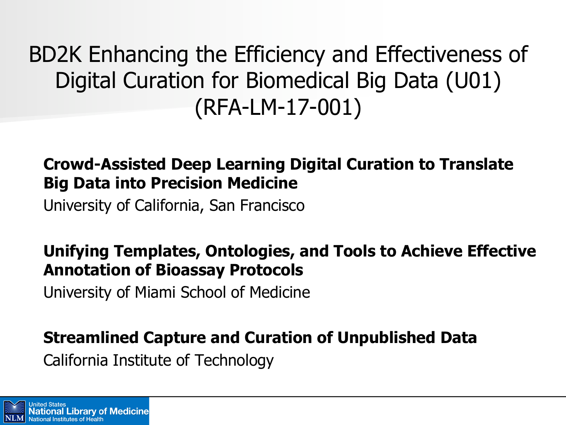BD2K Enhancing the Efficiency and Effectiveness of Digital Curation for Biomedical Big Data (U01) (RFA-LM-17-001)

#### **Crowd-Assisted Deep Learning Digital Curation to Translate Big Data into Precision Medicine**

University of California, San Francisco

#### **Unifying Templates, Ontologies, and Tools to Achieve Effective Annotation of Bioassay Protocols**

University of Miami School of Medicine

#### **Streamlined Capture and Curation of Unpublished Data**

California Institute of Technology